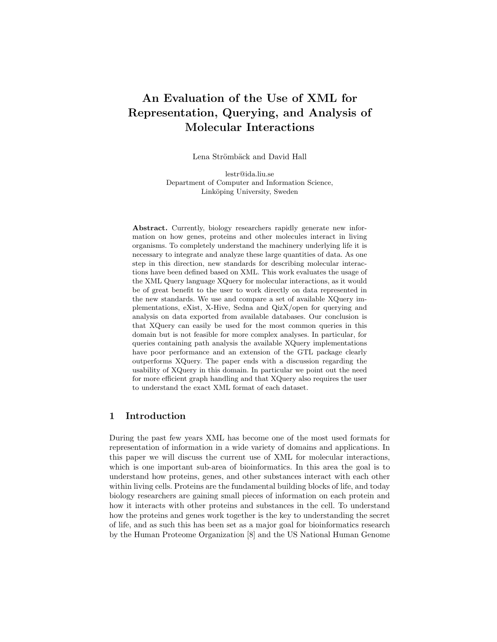# An Evaluation of the Use of XML for Representation, Querying, and Analysis of Molecular Interactions

Lena Strömbäck and David Hall

lestr@ida.liu.se Department of Computer and Information Science, Linköping University, Sweden

Abstract. Currently, biology researchers rapidly generate new information on how genes, proteins and other molecules interact in living organisms. To completely understand the machinery underlying life it is necessary to integrate and analyze these large quantities of data. As one step in this direction, new standards for describing molecular interactions have been defined based on XML. This work evaluates the usage of the XML Query language XQuery for molecular interactions, as it would be of great benefit to the user to work directly on data represented in the new standards. We use and compare a set of available XQuery implementations, eXist, X-Hive, Sedna and QizX/open for querying and analysis on data exported from available databases. Our conclusion is that XQuery can easily be used for the most common queries in this domain but is not feasible for more complex analyses. In particular, for queries containing path analysis the available XQuery implementations have poor performance and an extension of the GTL package clearly outperforms XQuery. The paper ends with a discussion regarding the usability of XQuery in this domain. In particular we point out the need for more efficient graph handling and that XQuery also requires the user to understand the exact XML format of each dataset.

# 1 Introduction

During the past few years XML has become one of the most used formats for representation of information in a wide variety of domains and applications. In this paper we will discuss the current use of XML for molecular interactions, which is one important sub-area of bioinformatics. In this area the goal is to understand how proteins, genes, and other substances interact with each other within living cells. Proteins are the fundamental building blocks of life, and today biology researchers are gaining small pieces of information on each protein and how it interacts with other proteins and substances in the cell. To understand how the proteins and genes work together is the key to understanding the secret of life, and as such this has been set as a major goal for bioinformatics research by the Human Proteome Organization [8] and the US National Human Genome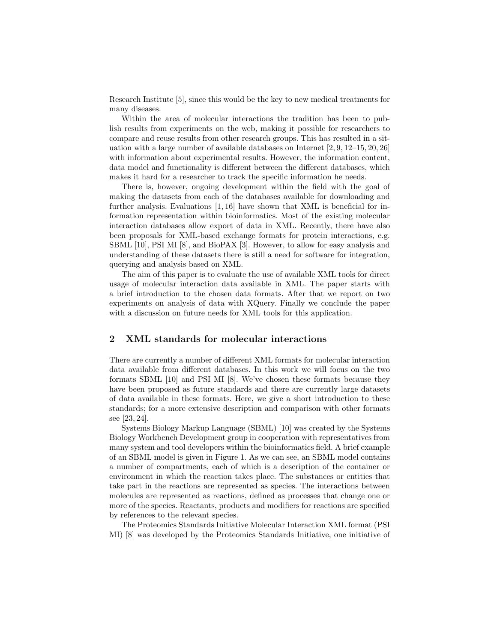Research Institute [5], since this would be the key to new medical treatments for many diseases.

Within the area of molecular interactions the tradition has been to publish results from experiments on the web, making it possible for researchers to compare and reuse results from other research groups. This has resulted in a situation with a large number of available databases on Internet [2, 9, 12–15, 20, 26] with information about experimental results. However, the information content, data model and functionality is different between the different databases, which makes it hard for a researcher to track the specific information he needs.

There is, however, ongoing development within the field with the goal of making the datasets from each of the databases available for downloading and further analysis. Evaluations [1, 16] have shown that XML is beneficial for information representation within bioinformatics. Most of the existing molecular interaction databases allow export of data in XML. Recently, there have also been proposals for XML-based exchange formats for protein interactions, e.g. SBML [10], PSI MI [8], and BioPAX [3]. However, to allow for easy analysis and understanding of these datasets there is still a need for software for integration, querying and analysis based on XML.

The aim of this paper is to evaluate the use of available XML tools for direct usage of molecular interaction data available in XML. The paper starts with a brief introduction to the chosen data formats. After that we report on two experiments on analysis of data with XQuery. Finally we conclude the paper with a discussion on future needs for XML tools for this application.

# 2 XML standards for molecular interactions

There are currently a number of different XML formats for molecular interaction data available from different databases. In this work we will focus on the two formats SBML [10] and PSI MI [8]. We've chosen these formats because they have been proposed as future standards and there are currently large datasets of data available in these formats. Here, we give a short introduction to these standards; for a more extensive description and comparison with other formats see [23, 24].

Systems Biology Markup Language (SBML) [10] was created by the Systems Biology Workbench Development group in cooperation with representatives from many system and tool developers within the bioinformatics field. A brief example of an SBML model is given in Figure 1. As we can see, an SBML model contains a number of compartments, each of which is a description of the container or environment in which the reaction takes place. The substances or entities that take part in the reactions are represented as species. The interactions between molecules are represented as reactions, defined as processes that change one or more of the species. Reactants, products and modifiers for reactions are specified by references to the relevant species.

The Proteomics Standards Initiative Molecular Interaction XML format (PSI MI) [8] was developed by the Proteomics Standards Initiative, one initiative of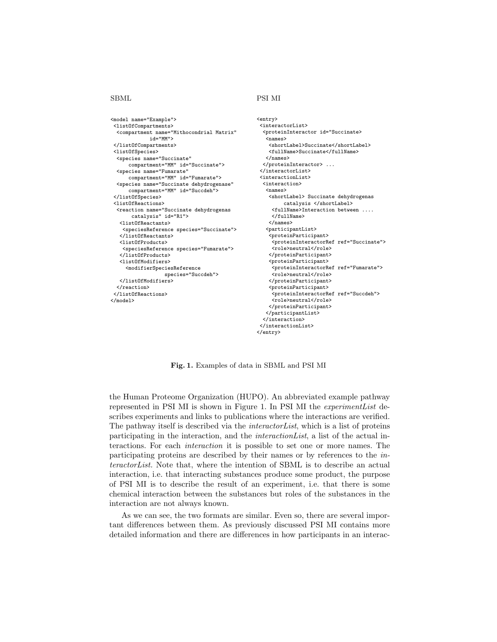#### SBML PSI MI

```
<model name="Example">
 <listOfCompartments>
  <compartment name="Mithocondrial Matrix"
             id="MM">
 </listOfCompartments>
 <listOfSpecies>
  <species name="Succinate"
     compartment="MM" id="Succinate">
  <species name="Fumarate"
     compartment="MM" id="Fumarate">
  <species name="Succinate dehydrogenase"
     compartment="MM" id="Succdeh">
 </listOfSpecies>
 <listOfReactions>
  <reaction name="Succinate dehydrogenas
      catalysis" id="R1">
   <listOfReactants>
   <speciesReference species="Succinate">
   </listOfReactants>
   <listOfProducts>
   <speciesReference species="Fumarate">
   </listOfProducts>
   <listOfModifiers>
    <modifierSpeciesReference
                  species="Succdeh">
   </listOfModifiers>
 </reaction>
 </listOfReactions>
</model>
```

```
<entry>
 <interactorList>
  <proteinInteractor id="Succinate>
   <sub>names</sub></sub>
    <shortLabel>Succinate</shortLabel>
    <fullName>Succinate</fullName>
   </names>
 </proteinInteractor> ...
 </interactorList>
 <interactionList>
  <interaction>
   <names>
    <shortLabel> Succinate dehydrogenas
         catalysis </shortLabel>
     <fullName>Interaction between ....
     </fullName>
    </names>
   <participantList>
    .<br><proteinParticipant>
     <proteinInteractorRef ref="Succinate">
     <role>neutral</role>
    </proteinParticipant>
    <proteinParticipant>
     <proteinInteractorRef ref="Fumarate">
     <role>neutral</role>
    </proteinParticipant>
    <proteinParticipant>
     <proteinInteractorRef ref="Succdeh">
     <role>neutral</role>
    </proteinParticipant>
   </participantList>
 </interaction>
</interactionList>
</entry>
```
Fig. 1. Examples of data in SBML and PSI MI

the Human Proteome Organization (HUPO). An abbreviated example pathway represented in PSI MI is shown in Figure 1. In PSI MI the experimentList describes experiments and links to publications where the interactions are verified. The pathway itself is described via the *interactorList*, which is a list of proteins participating in the interaction, and the interactionList, a list of the actual interactions. For each interaction it is possible to set one or more names. The participating proteins are described by their names or by references to the interactorList. Note that, where the intention of SBML is to describe an actual interaction, i.e. that interacting substances produce some product, the purpose of PSI MI is to describe the result of an experiment, i.e. that there is some chemical interaction between the substances but roles of the substances in the interaction are not always known.

As we can see, the two formats are similar. Even so, there are several important differences between them. As previously discussed PSI MI contains more detailed information and there are differences in how participants in an interac-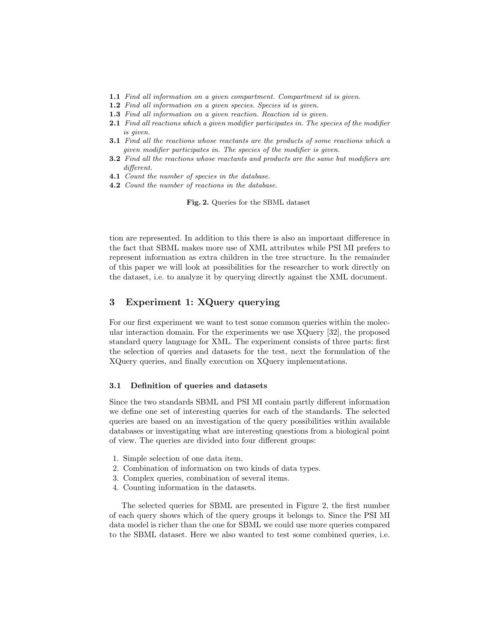- 1.1 Find all information on a given compartment. Compartment id is given.
- 1.2 Find all information on a given species. Species id is given.
- 1.3 Find all information on a given reaction. Reaction id is given.
- 2.1 Find all reactions which a given modifier participates in. The species of the modifier is given.
- 3.1 Find all the reactions whose reactants are the products of some reactions which a given modifier participates in. The species of the modifier is given.
- **3.2** Find all the reactions whose reactants and products are the same but modifiers are different.
- 4.1 Count the number of species in the database.
- 4.2 Count the number of reactions in the database.

Fig. 2. Queries for the SBML dataset

tion are represented. In addition to this there is also an important difference in the fact that SBML makes more use of XML attributes while PSI MI prefers to represent information as extra children in the tree structure. In the remainder of this paper we will look at possibilities for the researcher to work directly on the dataset, i.e. to analyze it by querying directly against the XML document.

# 3 Experiment 1: XQuery querying

For our first experiment we want to test some common queries within the molecular interaction domain. For the experiments we use XQuery [32], the proposed standard query language for XML. The experiment consists of three parts: first the selection of queries and datasets for the test, next the formulation of the XQuery queries, and finally execution on XQuery implementations.

#### 3.1 Definition of queries and datasets

Since the two standards SBML and PSI MI contain partly different information we define one set of interesting queries for each of the standards. The selected queries are based on an investigation of the query possibilities within available databases or investigating what are interesting questions from a biological point of view. The queries are divided into four different groups:

- 1. Simple selection of one data item.
- 2. Combination of information on two kinds of data types.
- 3. Complex queries, combination of several items.
- 4. Counting information in the datasets.

The selected queries for SBML are presented in Figure 2, the first number of each query shows which of the query groups it belongs to. Since the PSI MI data model is richer than the one for SBML we could use more queries compared to the SBML dataset. Here we also wanted to test some combined queries, i.e.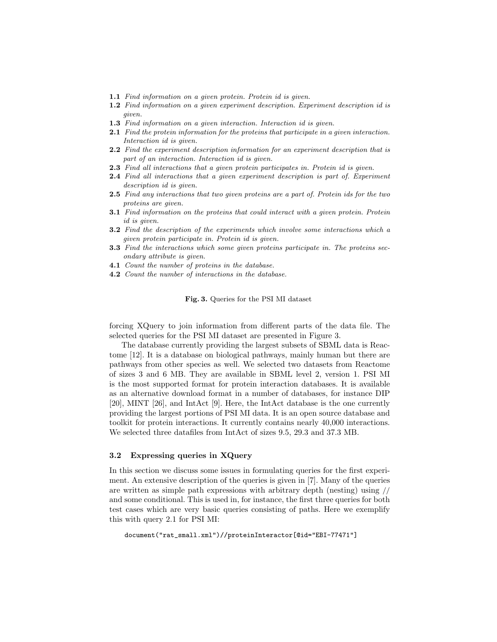- 1.1 Find information on a given protein. Protein id is given.
- 1.2 Find information on a given experiment description. Experiment description id is given.
- 1.3 Find information on a given interaction. Interaction id is given.
- 2.1 Find the protein information for the proteins that participate in a given interaction. Interaction id is given.
- 2.2 Find the experiment description information for an experiment description that is part of an interaction. Interaction id is given.
- 2.3 Find all interactions that a given protein participates in. Protein id is given.
- 2.4 Find all interactions that a given experiment description is part of. Experiment description id is given.
- 2.5 Find any interactions that two given proteins are a part of. Protein ids for the two proteins are given.
- **3.1** Find information on the proteins that could interact with a given protein. Protein id is given.
- **3.2** Find the description of the experiments which involve some interactions which a given protein participate in. Protein id is given.
- **3.3** Find the interactions which some given proteins participate in. The proteins secondary attribute is given.
- 4.1 Count the number of proteins in the database.
- 4.2 Count the number of interactions in the database.

Fig. 3. Queries for the PSI MI dataset

forcing XQuery to join information from different parts of the data file. The selected queries for the PSI MI dataset are presented in Figure 3.

The database currently providing the largest subsets of SBML data is Reactome [12]. It is a database on biological pathways, mainly human but there are pathways from other species as well. We selected two datasets from Reactome of sizes 3 and 6 MB. They are available in SBML level 2, version 1. PSI MI is the most supported format for protein interaction databases. It is available as an alternative download format in a number of databases, for instance DIP [20], MINT [26], and IntAct [9]. Here, the IntAct database is the one currently providing the largest portions of PSI MI data. It is an open source database and toolkit for protein interactions. It currently contains nearly 40,000 interactions. We selected three datafiles from IntAct of sizes 9.5, 29.3 and 37.3 MB.

#### 3.2 Expressing queries in XQuery

In this section we discuss some issues in formulating queries for the first experiment. An extensive description of the queries is given in [7]. Many of the queries are written as simple path expressions with arbitrary depth (nesting) using // and some conditional. This is used in, for instance, the first three queries for both test cases which are very basic queries consisting of paths. Here we exemplify this with query 2.1 for PSI MI:

document("rat\_small.xml")//proteinInteractor[@id="EBI-77471"]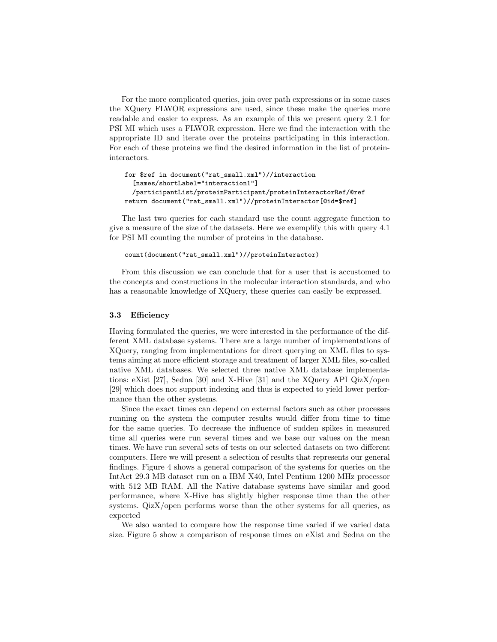For the more complicated queries, join over path expressions or in some cases the XQuery FLWOR expressions are used, since these make the queries more readable and easier to express. As an example of this we present query 2.1 for PSI MI which uses a FLWOR expression. Here we find the interaction with the appropriate ID and iterate over the proteins participating in this interaction. For each of these proteins we find the desired information in the list of proteininteractors.

```
for $ref in document("rat_small.xml")//interaction
  [names/shortLabel="interaction1"]
  /participantList/proteinParticipant/proteinInteractorRef/@ref
return document("rat_small.xml")//proteinInteractor[@id=$ref]
```
The last two queries for each standard use the count aggregate function to give a measure of the size of the datasets. Here we exemplify this with query 4.1 for PSI MI counting the number of proteins in the database.

### count(document("rat\_small.xml")//proteinInteractor)

From this discussion we can conclude that for a user that is accustomed to the concepts and constructions in the molecular interaction standards, and who has a reasonable knowledge of XQuery, these queries can easily be expressed.

#### 3.3 Efficiency

Having formulated the queries, we were interested in the performance of the different XML database systems. There are a large number of implementations of XQuery, ranging from implementations for direct querying on XML files to systems aiming at more efficient storage and treatment of larger XML files, so-called native XML databases. We selected three native XML database implementations: eXist [27], Sedna [30] and X-Hive [31] and the XQuery API QizX/open [29] which does not support indexing and thus is expected to yield lower performance than the other systems.

Since the exact times can depend on external factors such as other processes running on the system the computer results would differ from time to time for the same queries. To decrease the influence of sudden spikes in measured time all queries were run several times and we base our values on the mean times. We have run several sets of tests on our selected datasets on two different computers. Here we will present a selection of results that represents our general findings. Figure 4 shows a general comparison of the systems for queries on the IntAct 29.3 MB dataset run on a IBM X40, Intel Pentium 1200 MHz processor with 512 MB RAM. All the Native database systems have similar and good performance, where X-Hive has slightly higher response time than the other systems. QizX/open performs worse than the other systems for all queries, as expected

We also wanted to compare how the response time varied if we varied data size. Figure 5 show a comparison of response times on eXist and Sedna on the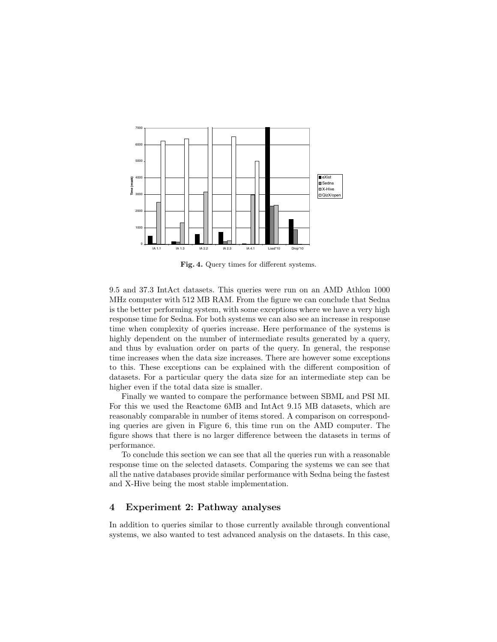

Fig. 4. Query times for different systems.

9.5 and 37.3 IntAct datasets. This queries were run on an AMD Athlon 1000 MHz computer with 512 MB RAM. From the figure we can conclude that Sedna is the better performing system, with some exceptions where we have a very high response time for Sedna. For both systems we can also see an increase in response time when complexity of queries increase. Here performance of the systems is highly dependent on the number of intermediate results generated by a query, and thus by evaluation order on parts of the query. In general, the response time increases when the data size increases. There are however some exceptions to this. These exceptions can be explained with the different composition of datasets. For a particular query the data size for an intermediate step can be higher even if the total data size is smaller.

Finally we wanted to compare the performance between SBML and PSI MI. For this we used the Reactome 6MB and IntAct 9.15 MB datasets, which are reasonably comparable in number of items stored. A comparison on corresponding queries are given in Figure 6, this time run on the AMD computer. The figure shows that there is no larger difference between the datasets in terms of performance.

To conclude this section we can see that all the queries run with a reasonable response time on the selected datasets. Comparing the systems we can see that all the native databases provide similar performance with Sedna being the fastest and X-Hive being the most stable implementation.

# 4 Experiment 2: Pathway analyses

In addition to queries similar to those currently available through conventional systems, we also wanted to test advanced analysis on the datasets. In this case,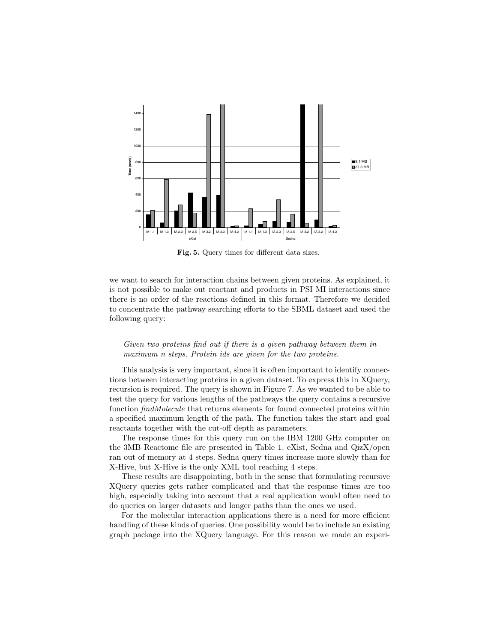

Fig. 5. Query times for different data sizes.

we want to search for interaction chains between given proteins. As explained, it is not possible to make out reactant and products in PSI MI interactions since there is no order of the reactions defined in this format. Therefore we decided to concentrate the pathway searching efforts to the SBML dataset and used the following query:

Given two proteins find out if there is a given pathway between them in maximum n steps. Protein ids are given for the two proteins.

This analysis is very important, since it is often important to identify connections between interacting proteins in a given dataset. To express this in XQuery, recursion is required. The query is shown in Figure 7. As we wanted to be able to test the query for various lengths of the pathways the query contains a recursive function findMolecule that returns elements for found connected proteins within a specified maximum length of the path. The function takes the start and goal reactants together with the cut-off depth as parameters.

The response times for this query run on the IBM 1200 GHz computer on the 3MB Reactome file are presented in Table 1. eXist, Sedna and QizX/open ran out of memory at 4 steps. Sedna query times increase more slowly than for X-Hive, but X-Hive is the only XML tool reaching 4 steps.

These results are disappointing, both in the sense that formulating recursive XQuery queries gets rather complicated and that the response times are too high, especially taking into account that a real application would often need to do queries on larger datasets and longer paths than the ones we used.

For the molecular interaction applications there is a need for more efficient handling of these kinds of queries. One possibility would be to include an existing graph package into the XQuery language. For this reason we made an experi-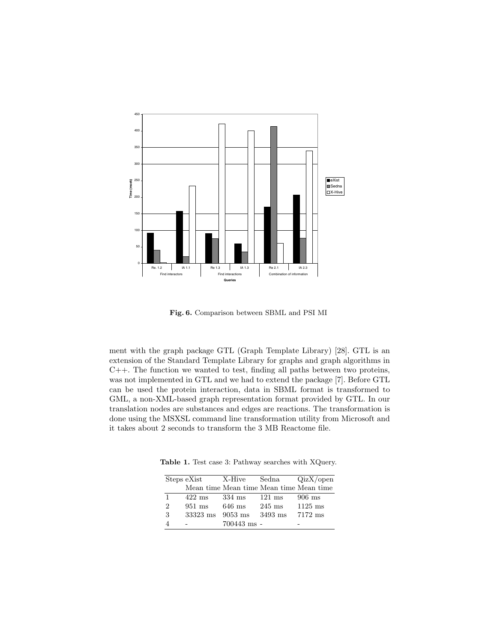

Fig. 6. Comparison between SBML and PSI MI

ment with the graph package GTL (Graph Template Library) [28]. GTL is an extension of the Standard Template Library for graphs and graph algorithms in C++. The function we wanted to test, finding all paths between two proteins, was not implemented in GTL and we had to extend the package [7]. Before GTL can be used the protein interaction, data in SBML format is transformed to GML, a non-XML-based graph representation format provided by GTL. In our translation nodes are substances and edges are reactions. The transformation is done using the MSXSL command line transformation utility from Microsoft and it takes about 2 seconds to transform the 3 MB Reactome file.

Table 1. Test case 3: Pathway searches with XQuery.

|                | Steps eXist      | X-Hive        | Sedna                                   | QizX/open |
|----------------|------------------|---------------|-----------------------------------------|-----------|
|                |                  |               | Mean time Mean time Mean time Mean time |           |
|                | $422 \text{ ms}$ | 334 ms        | $121 \text{ ms}$                        | $906$ ms  |
| $\overline{2}$ | $951 \text{ ms}$ | $646$ ms      | $245$ ms                                | $1125$ ms |
| 3              | 33323 ms         | $9053$ ms     | 3493 ms                                 | $7172$ ms |
|                |                  | $700443$ ms - |                                         |           |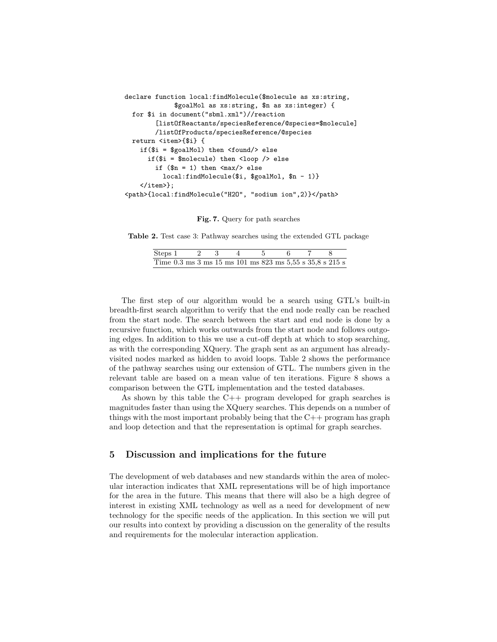```
declare function local:findMolecule($molecule as xs:string,
             $goalMol as xs:string, $n as xs:integer) {
 for $i in document("sbml.xml")//reaction
        [listOfReactants/speciesReference/@species=$molecule]
        /listOfProducts/speciesReference/@species
  return <item>{$i} {
    if(i = $goalMol) then <found/> else
      if($i = $molecule) then <loop /> else
        if ($n = 1) then \langle max \rangle else
          local:findMolecule($i, $goalMol, $n - 1)}
    </item>};
<path>{local:findMolecule("H2O", "sodium ion",2)}</path>
```
Fig. 7. Query for path searches

Table 2. Test case 3: Pathway searches using the extended GTL package

| Steps $1 \t 2 \t 3$                                                                                                      |  |  |  |  |
|--------------------------------------------------------------------------------------------------------------------------|--|--|--|--|
| Time 0.3 ms $3 \text{ ms } 15 \text{ ms } 101 \text{ ms } 823 \text{ ms } 5,55 \text{ s } 35,8 \text{ s } 215 \text{ s}$ |  |  |  |  |

The first step of our algorithm would be a search using GTL's built-in breadth-first search algorithm to verify that the end node really can be reached from the start node. The search between the start and end node is done by a recursive function, which works outwards from the start node and follows outgoing edges. In addition to this we use a cut-off depth at which to stop searching, as with the corresponding XQuery. The graph sent as an argument has alreadyvisited nodes marked as hidden to avoid loops. Table 2 shows the performance of the pathway searches using our extension of GTL. The numbers given in the relevant table are based on a mean value of ten iterations. Figure 8 shows a comparison between the GTL implementation and the tested databases.

As shown by this table the  $C++$  program developed for graph searches is magnitudes faster than using the XQuery searches. This depends on a number of things with the most important probably being that the  $C++$  program has graph and loop detection and that the representation is optimal for graph searches.

# 5 Discussion and implications for the future

The development of web databases and new standards within the area of molecular interaction indicates that XML representations will be of high importance for the area in the future. This means that there will also be a high degree of interest in existing XML technology as well as a need for development of new technology for the specific needs of the application. In this section we will put our results into context by providing a discussion on the generality of the results and requirements for the molecular interaction application.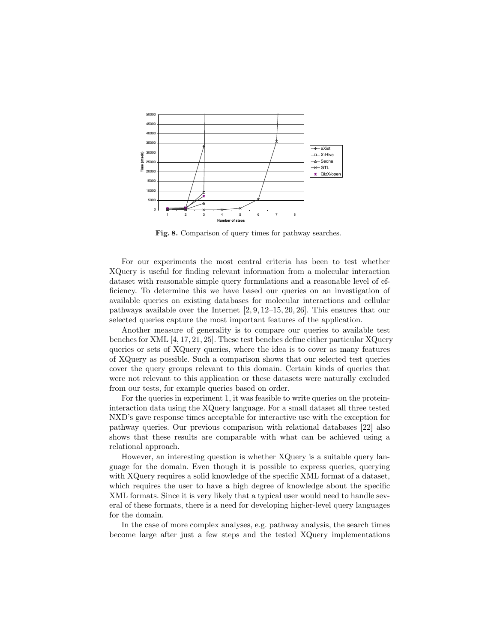

Fig. 8. Comparison of query times for pathway searches.

For our experiments the most central criteria has been to test whether XQuery is useful for finding relevant information from a molecular interaction dataset with reasonable simple query formulations and a reasonable level of efficiency. To determine this we have based our queries on an investigation of available queries on existing databases for molecular interactions and cellular pathways available over the Internet [2, 9, 12–15, 20, 26]. This ensures that our selected queries capture the most important features of the application.

Another measure of generality is to compare our queries to available test benches for XML [4, 17, 21, 25]. These test benches define either particular XQuery queries or sets of XQuery queries, where the idea is to cover as many features of XQuery as possible. Such a comparison shows that our selected test queries cover the query groups relevant to this domain. Certain kinds of queries that were not relevant to this application or these datasets were naturally excluded from our tests, for example queries based on order.

For the queries in experiment 1, it was feasible to write queries on the proteininteraction data using the XQuery language. For a small dataset all three tested NXD's gave response times acceptable for interactive use with the exception for pathway queries. Our previous comparison with relational databases [22] also shows that these results are comparable with what can be achieved using a relational approach.

However, an interesting question is whether XQuery is a suitable query language for the domain. Even though it is possible to express queries, querying with XQuery requires a solid knowledge of the specific XML format of a dataset, which requires the user to have a high degree of knowledge about the specific XML formats. Since it is very likely that a typical user would need to handle several of these formats, there is a need for developing higher-level query languages for the domain.

In the case of more complex analyses, e.g. pathway analysis, the search times become large after just a few steps and the tested XQuery implementations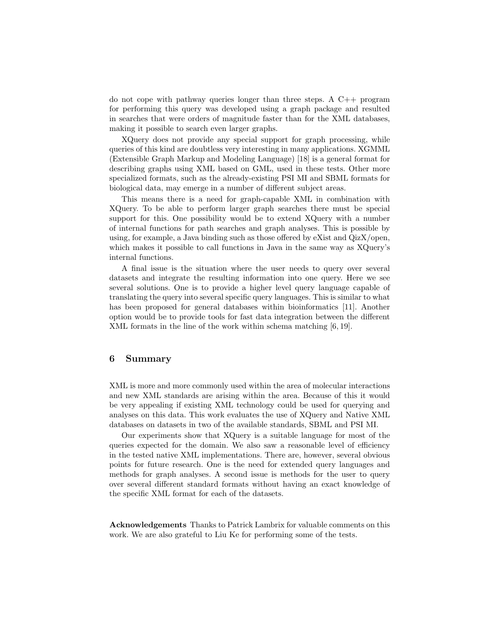do not cope with pathway queries longer than three steps. A C++ program for performing this query was developed using a graph package and resulted in searches that were orders of magnitude faster than for the XML databases, making it possible to search even larger graphs.

XQuery does not provide any special support for graph processing, while queries of this kind are doubtless very interesting in many applications. XGMML (Extensible Graph Markup and Modeling Language) [18] is a general format for describing graphs using XML based on GML, used in these tests. Other more specialized formats, such as the already-existing PSI MI and SBML formats for biological data, may emerge in a number of different subject areas.

This means there is a need for graph-capable XML in combination with XQuery. To be able to perform larger graph searches there must be special support for this. One possibility would be to extend XQuery with a number of internal functions for path searches and graph analyses. This is possible by using, for example, a Java binding such as those offered by eXist and QizX/open, which makes it possible to call functions in Java in the same way as XQuery's internal functions.

A final issue is the situation where the user needs to query over several datasets and integrate the resulting information into one query. Here we see several solutions. One is to provide a higher level query language capable of translating the query into several specific query languages. This is similar to what has been proposed for general databases within bioinformatics [11]. Another option would be to provide tools for fast data integration between the different XML formats in the line of the work within schema matching [6, 19].

### 6 Summary

XML is more and more commonly used within the area of molecular interactions and new XML standards are arising within the area. Because of this it would be very appealing if existing XML technology could be used for querying and analyses on this data. This work evaluates the use of XQuery and Native XML databases on datasets in two of the available standards, SBML and PSI MI.

Our experiments show that XQuery is a suitable language for most of the queries expected for the domain. We also saw a reasonable level of efficiency in the tested native XML implementations. There are, however, several obvious points for future research. One is the need for extended query languages and methods for graph analyses. A second issue is methods for the user to query over several different standard formats without having an exact knowledge of the specific XML format for each of the datasets.

Acknowledgements Thanks to Patrick Lambrix for valuable comments on this work. We are also grateful to Liu Ke for performing some of the tests.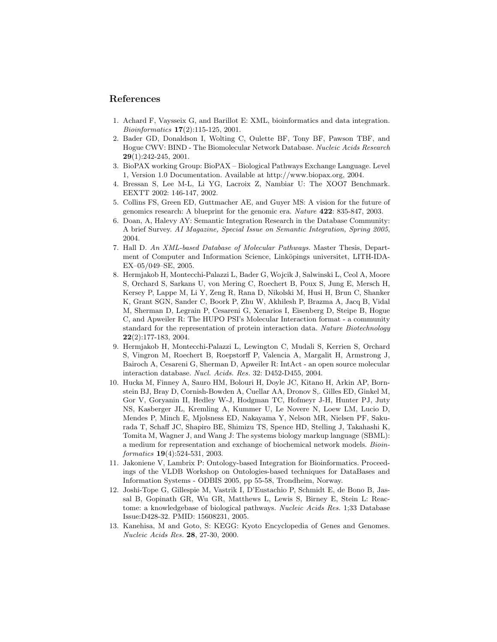# References

- 1. Achard F, Vaysseix G, and Barillot E: XML, bioinformatics and data integration. Bioinformatics 17(2):115-125, 2001.
- 2. Bader GD, Donaldson I, Wolting C, Oulette BF, Tony BF, Pawson TBF, and Hogue CWV: BIND - The Biomolecular Network Database. Nucleic Acids Research 29(1):242-245, 2001.
- 3. BioPAX working Group: BioPAX Biological Pathways Exchange Language. Level 1, Version 1.0 Documentation. Available at http://www.biopax.org, 2004.
- 4. Bressan S, Lee M-L, Li YG, Lacroix Z, Nambiar U: The XOO7 Benchmark. EEXTT 2002: 146-147, 2002.
- 5. Collins FS, Green ED, Guttmacher AE, and Guyer MS: A vision for the future of genomics research: A blueprint for the genomic era. Nature 422: 835-847, 2003.
- 6. Doan, A, Halevy AY: Semantic Integration Research in the Database Community: A brief Survey. AI Magazine, Special Issue on Semantic Integration, Spring 2005, 2004.
- 7. Hall D. An XML-based Database of Molecular Pathways. Master Thesis, Department of Computer and Information Science, Linköpings universitet, LITH-IDA-EX–05/049–SE, 2005.
- 8. Hermjakob H, Montecchi-Palazzi L, Bader G, Wojcik J, Salwinski L, Ceol A, Moore S, Orchard S, Sarkans U, von Mering C, Roechert B, Poux S, Jung E, Mersch H, Kersey P, Lappe M, Li Y, Zeng R, Rana D, Nikolski M, Husi H, Brun C, Shanker K, Grant SGN, Sander C, Boork P, Zhu W, Akhilesh P, Brazma A, Jacq B, Vidal M, Sherman D, Legrain P, Cesareni G, Xenarios I, Eisenberg D, Steipe B, Hogue C, and Apweiler R: The HUPO PSI's Molecular Interaction format - a community standard for the representation of protein interaction data. Nature Biotechnology 22(2):177-183, 2004.
- 9. Hermjakob H, Montecchi-Palazzi L, Lewington C, Mudali S, Kerrien S, Orchard S, Vingron M, Roechert B, Roepstorff P, Valencia A, Margalit H, Armstrong J, Bairoch A, Cesareni G, Sherman D, Apweiler R: IntAct - an open source molecular interaction database. Nucl. Acids. Res. 32: D452-D455, 2004.
- 10. Hucka M, Finney A, Sauro HM, Bolouri H, Doyle JC, Kitano H, Arkin AP, Bornstein BJ, Bray D, Cornish-Bowden A, Cuellar AA, Dronov S,. Gilles ED, Ginkel M, Gor V, Goryanin II, Hedley W-J, Hodgman TC, Hofmeyr J-H, Hunter PJ, Juty NS, Kasberger JL, Kremling A, Kummer U, Le Novere N, Loew LM, Lucio D, Mendes P, Minch E, Mjolsness ED, Nakayama Y, Nelson MR, Nielsen PF, Sakurada T, Schaff JC, Shapiro BE, Shimizu TS, Spence HD, Stelling J, Takahashi K, Tomita M, Wagner J, and Wang J: The systems biology markup language (SBML): a medium for representation and exchange of biochemical network models. Bioinformatics 19(4):524-531, 2003.
- 11. Jakoniene V, Lambrix P: Ontology-based Integration for Bioinformatics. Proceedings of the VLDB Workshop on Ontologies-based techniques for DataBases and Information Systems - ODBIS 2005, pp 55-58, Trondheim, Norway.
- 12. Joshi-Tope G, Gillespie M, Vastrik I, D'Eustachio P, Schmidt E, de Bono B, Jassal B, Gopinath GR, Wu GR, Matthews L, Lewis S, Birney E, Stein L: Reactome: a knowledgebase of biological pathways. Nucleic Acids Res. 1;33 Database Issue:D428-32. PMID: 15608231, 2005.
- 13. Kanehisa, M and Goto, S: KEGG: Kyoto Encyclopedia of Genes and Genomes. Nucleic Acids Res. 28, 27-30, 2000.